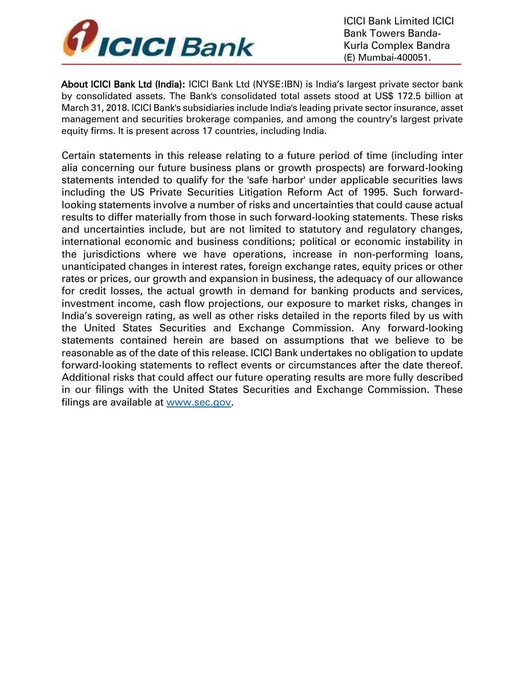

About ICICI Bank Ltd (India): ICICI Bank Ltd (NYSE:IBN) is India's largest private sector bank by consolidated assets. The Bank's consolidated total assets stood at US\$ 172.5 billion at March 31, 2018. ICICI Bank's subsidiaries include India's leading private sector insurance, asset management and securities brokerage companies, and among the country's largest private equity firms. It is present across 17 countries, including India.

Certain statements in this release relating to a future period of time (including inter alia concerning our future business plans or growth prospects) are forward-looking statements intended to qualify for the 'safe harbor' under applicable securities laws including the US Private Securities Litigation Reform Act of 1995. Such forwardlooking statements involve a number of risks and uncertainties that could cause actual results to differ materially from those in such forward-looking statements. These risks and uncertainties include, but are not limited to statutory and regulatory changes, international economic and business conditions; political or economic instability in the jurisdictions where we have operations, increase in non-performing loans, unanticipated changes in interest rates, foreign exchange rates, equity prices or other rates or prices, our growth and expansion in business, the adequacy of our allowance for credit losses, the actual growth in demand for banking products and services, investment income, cash flow projections, our exposure to market risks, changes in India's sovereign rating, as well as other risks detailed in the reports filed by us with the United States Securities and Exchange Commission. Any forward-looking statements contained herein are based on assumptions that we believe to be reasonable as of the date of this release. ICICI Bank undertakes no obligation to update forward-looking statements to reflect events or circumstances after the date thereof. Additional risks that could affect our future operating results are more fully described in our filings with the United States Securities and Exchange Commission. These filings are available at [www.sec.gov.](http://www.sec.gov/)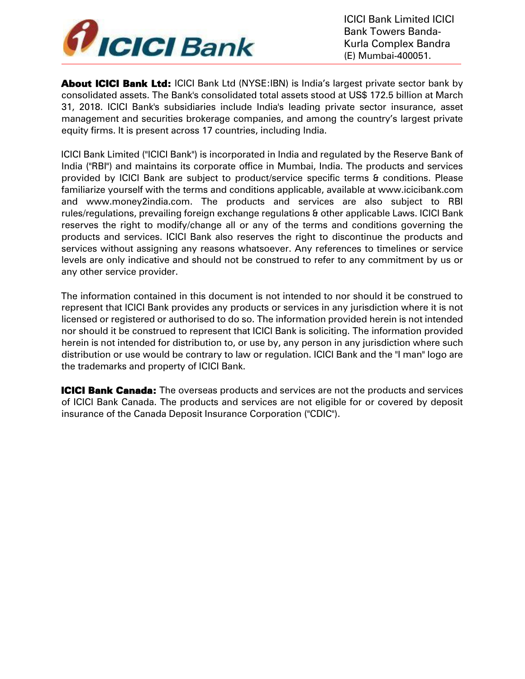

**About ICICI Bank Ltd:** ICICI Bank Ltd (NYSE:IBN) is India's largest private sector bank by consolidated assets. The Bank's consolidated total assets stood at US\$ 172.5 billion at March 31, 2018. ICICI Bank's subsidiaries include India's leading private sector insurance, asset management and securities brokerage companies, and among the country's largest private equity firms. It is present across 17 countries, including India.

ICICI Bank Limited ("ICICI Bank") is incorporated in India and regulated by the Reserve Bank of India ("RBI") and maintains its corporate office in Mumbai, India. The products and services provided by ICICI Bank are subject to product/service specific terms & conditions. Please familiarize yourself with the terms and conditions applicable, available at [www.icicibank.com](http://www.icicibank.com/)  [an](http://www.icicibank.com/)[d](http://www.money2india.com/) [www.money2india.com. Th](http://www.money2india.com/)e products and services are also subject to RBI rules/regulations, prevailing foreign exchange regulations & other applicable Laws. ICICI Bank reserves the right to modify/change all or any of the terms and conditions governing the products and services. ICICI Bank also reserves the right to discontinue the products and services without assigning any reasons whatsoever. Any references to timelines or service levels are only indicative and should not be construed to refer to any commitment by us or any other service provider.

The information contained in this document is not intended to nor should it be construed to represent that ICICI Bank provides any products or services in any jurisdiction where it is not licensed or registered or authorised to do so. The information provided herein is not intended nor should it be construed to represent that ICICI Bank is soliciting. The information provided herein is not intended for distribution to, or use by, any person in any jurisdiction where such distribution or use would be contrary to law or regulation. ICICI Bank and the "I man" logo are the trademarks and property of ICICI Bank.

**ICICI Bank Canada:** The overseas products and services are not the products and services of ICICI Bank Canada. The products and services are not eligible for or covered by deposit insurance of the Canada Deposit Insurance Corporation ("CDIC").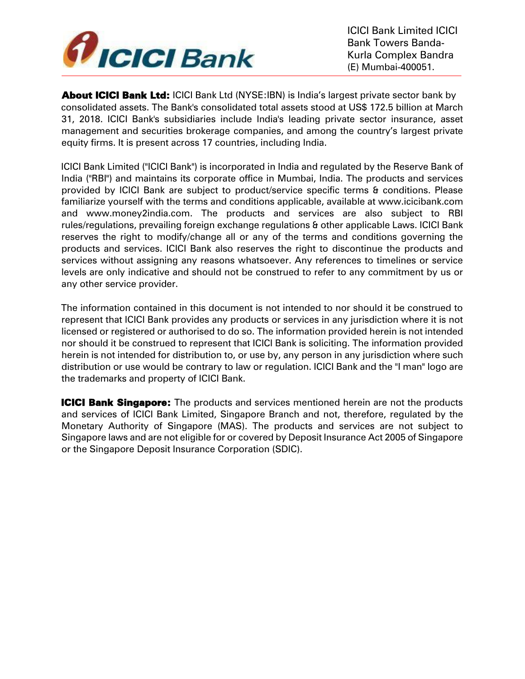

**About ICICI Bank Ltd: ICICI Bank Ltd (NYSE:IBN) is India's largest private sector bank by** consolidated assets. The Bank's consolidated total assets stood at US\$ 172.5 billion at March 31, 2018. ICICI Bank's subsidiaries include India's leading private sector insurance, asset management and securities brokerage companies, and among the country's largest private equity firms. It is present across 17 countries, including India.

ICICI Bank Limited ("ICICI Bank") is incorporated in India and regulated by the Reserve Bank of India ("RBI") and maintains its corporate office in Mumbai, India. The products and services provided by ICICI Bank are subject to product/service specific terms & conditions. Please familiarize yourself with the terms and conditions applicable, available at [www.icicibank.com](http://www.icicibank.com/)  [an](http://www.icicibank.com/)[d](http://www.money2india.com/) [www.money2india.com. Th](http://www.money2india.com/)e products and services are also subject to RBI rules/regulations, prevailing foreign exchange regulations & other applicable Laws. ICICI Bank reserves the right to modify/change all or any of the terms and conditions governing the products and services. ICICI Bank also reserves the right to discontinue the products and services without assigning any reasons whatsoever. Any references to timelines or service levels are only indicative and should not be construed to refer to any commitment by us or any other service provider.

The information contained in this document is not intended to nor should it be construed to represent that ICICI Bank provides any products or services in any jurisdiction where it is not licensed or registered or authorised to do so. The information provided herein is not intended nor should it be construed to represent that ICICI Bank is soliciting. The information provided herein is not intended for distribution to, or use by, any person in any jurisdiction where such distribution or use would be contrary to law or regulation. ICICI Bank and the "I man" logo are the trademarks and property of ICICI Bank.

**ICICI Bank Singapore:** The products and services mentioned herein are not the products and services of ICICI Bank Limited, Singapore Branch and not, therefore, regulated by the Monetary Authority of Singapore (MAS). The products and services are not subject to Singapore laws and are not eligible for or covered by Deposit Insurance Act 2005 of Singapore or the Singapore Deposit Insurance Corporation (SDIC).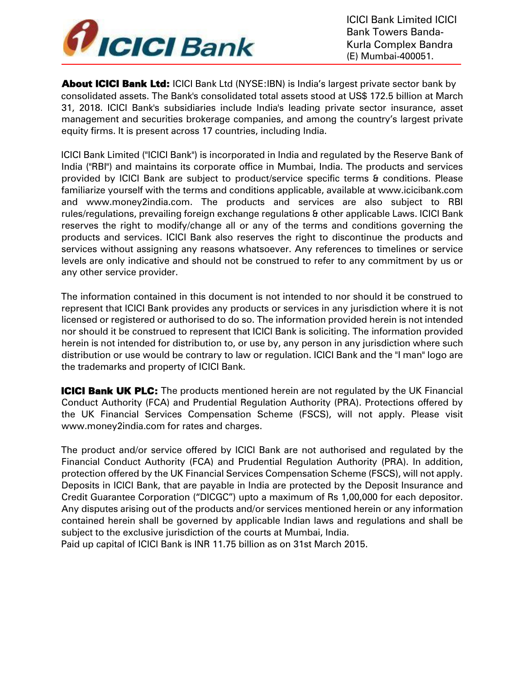

**About ICICI Bank Ltd:** ICICI Bank Ltd (NYSE:IBN) is India's largest private sector bank by consolidated assets. The Bank's consolidated total assets stood at US\$ 172.5 billion at March 31, 2018. ICICI Bank's subsidiaries include India's leading private sector insurance, asset management and securities brokerage companies, and among the country's largest private equity firms. It is present across 17 countries, including India.

ICICI Bank Limited ("ICICI Bank") is incorporated in India and regulated by the Reserve Bank of India ("RBI") and maintains its corporate office in Mumbai, India. The products and services provided by ICICI Bank are subject to product/service specific terms & conditions. Please familiarize yourself with the terms and conditions applicable, available at [www.icicibank.com](http://www.icicibank.com/)  [an](http://www.icicibank.com/)[d](http://www.money2india.com/) [www.money2india.com. Th](http://www.money2india.com/)e products and services are also subject to RBI rules/regulations, prevailing foreign exchange regulations & other applicable Laws. ICICI Bank reserves the right to modify/change all or any of the terms and conditions governing the products and services. ICICI Bank also reserves the right to discontinue the products and services without assigning any reasons whatsoever. Any references to timelines or service levels are only indicative and should not be construed to refer to any commitment by us or any other service provider.

The information contained in this document is not intended to nor should it be construed to represent that ICICI Bank provides any products or services in any jurisdiction where it is not licensed or registered or authorised to do so. The information provided herein is not intended nor should it be construed to represent that ICICI Bank is soliciting. The information provided herein is not intended for distribution to, or use by, any person in any jurisdiction where such distribution or use would be contrary to law or regulation. ICICI Bank and the "I man" logo are the trademarks and property of ICICI Bank.

**ICICI Bank UK PLC:** The products mentioned herein are not regulated by the UK Financial Conduct Authority (FCA) and Prudential Regulation Authority (PRA). Protections offered by the UK Financial Services Compensation Scheme (FSCS), will not apply. Please visit [www.money2india.com fo](http://www.money2india.com/)r rates and charges.

The product and/or service offered by ICICI Bank are not authorised and regulated by the Financial Conduct Authority (FCA) and Prudential Regulation Authority (PRA). In addition, protection offered by the UK Financial Services Compensation Scheme (FSCS), will not apply. Deposits in ICICI Bank, that are payable in India are protected by the Deposit Insurance and Credit Guarantee Corporation ("DICGC") upto a maximum of Rs 1,00,000 for each depositor. Any disputes arising out of the products and/or services mentioned herein or any information contained herein shall be governed by applicable Indian laws and regulations and shall be subject to the exclusive jurisdiction of the courts at Mumbai, India.

Paid up capital of ICICI Bank is INR 11.75 billion as on 31st March 2015.